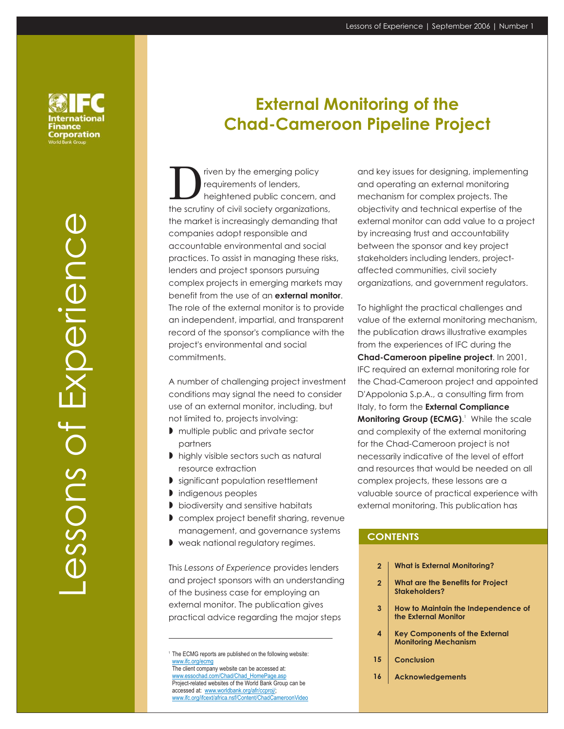nternational Finance Corporation

> Lessons of ExperienceExperience essons ot

# **External Monitoring of the Chad-Cameroon Pipeline Project**

The priven by<br> **D** requirements heightened public concern, and the scrutiny of civil society organizations, the market is increasingly demanding that companies adopt responsible and accountable environmental and social practices. To assist in managing these risks, lenders and project sponsors pursuing complex projects in emerging markets may benefit from the use of an **external monitor**. The role of the external monitor is to provide an independent, impartial, and transparent record of the sponsor's compliance with the project's environmental and social commitments. riven by the emerging policy requirements of lenders,

A number of challenging project investment conditions may signal the need to consider use of an external monitor, including, but not limited to, projects involving:

- multiple public and private sector partners
- highly visible sectors such as natural resource extraction
- **I** significant population resettlement
- **I** indigenous peoples
- **D** biodiversity and sensitive habitats
- complex project benefit sharing, revenue management, and governance systems
- weak national regulatory regimes. -

This Lessons of Experience provides lenders and project sponsors with an understanding of the business case for employing an external monitor. The publication gives practical advice regarding the major steps

Project-related websites of the World Bank Group can be accessed at: www.worldbank.org/afr/ccproj/;

www.ifc.org/ifcext/africa.nsf/Content/ChadCameroonVideo

and key issues for designing, implementing and operating an external monitoring mechanism for complex projects. The objectivity and technical expertise of the external monitor can add value to a project by increasing trust and accountability between the sponsor and key project stakeholders including lenders, projectaffected communities, civil society organizations, and government regulators.

To highlight the practical challenges and value of the external monitoring mechanism, the publication draws illustrative examples from the experiences of IFC during the **Chad-Cameroon pipeline project.** In 2001, IFC required an external monitoring role for the Chad-Cameroon project and appointed D'Appolonia S.p.A., a consulting firm from Italy, to form the **External Compliance Monitoring Group (ECMG).**<sup>1</sup> While the scale and complexity of the external monitoring for the Chad-Cameroon project is not necessarily indicative of the level of effort and resources that would be needed on all complex projects, these lessons are a valuable source of practical experience with external monitoring. This publication has

### **CONTENTS**

- **What is External Monitoring? 2**
- **What are the Benefits for Project Stakeholders? 2**
- **How to Maintain the Independence of the External Monitor 3**
- **Key Components of the External Monitoring Mechanism 4**
- **Conclusion**
- **Acknowledgements 16**

<sup>&</sup>lt;sup>1</sup> The ECMG reports are published on the following website:<br>
www.ifc.org/ecmg The client company website can be accessed at: www.ifc.org/ecmg www.essochad.com/Chad/Chad\_HomePage.asp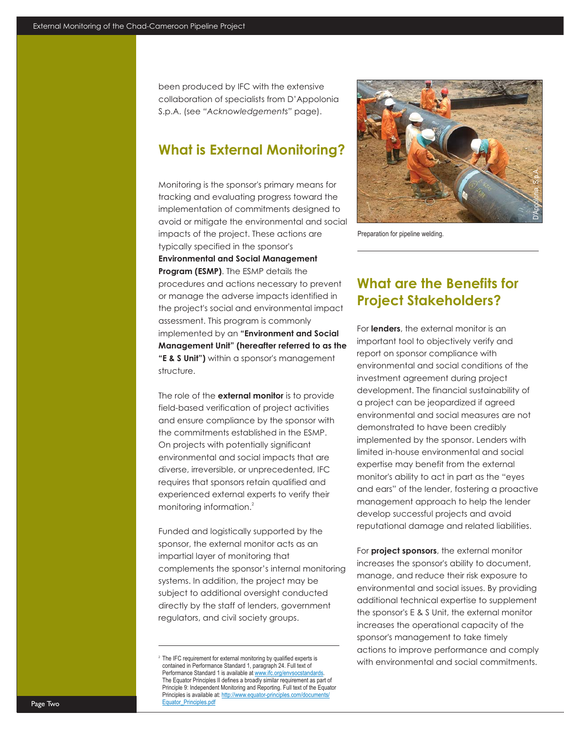been produced by IFC with the extensive collaboration of specialists from D'Appolonia S.p.A. (see "Acknowledgements" page).

# **What is External Monitoring?**

Monitoring is the sponsor's primary means for tracking and evaluating progress toward the implementation of commitments designed to avoid or mitigate the environmental and social impacts of the project. These actions are typically specified in the sponsor's **Program (ESMP)**. The ESMP details the procedures and actions necessary to prevent or manage the adverse impacts identified in the project's social and environmental impact assessment. This program is commonly implemented by an **"Environment and Social "E & S Unit")** within a sponsor's management structure. **Environmental and Social Management Management Unit" (hereafter referred to as the**

The role of the **external monitor** is to provide field-based verification of project activities and ensure compliance by the sponsor with the commitments established in the ESMP. On projects with potentially significant environmental and social impacts that are diverse, irreversible, or unprecedented, IFC requires that sponsors retain qualified and experienced external experts to verify their monitoring information. 2

Funded and logistically supported by the sponsor, the external monitor acts as an impartial layer of monitoring that complements the sponsor's internal monitoring systems. In addition, the project may be subject to additional oversight conducted directly by the staff of lenders, government regulators, and civil society groups.



Preparation for pipeline welding.

# **What are the Benefits for Project Stakeholders?**

For **lenders**, the external monitor is an important tool to objectively verify and report on sponsor compliance with environmental and social conditions of the investment agreement during project development. The financial sustainability of a project can be jeopardized if agreed environmental and social measures are not demonstrated to have been credibly implemented by the sponsor. Lenders with limited in-house environmental and social expertise may benefit from the external monitor's ability to act in part as the "eyes and ears" of the lender, fostering a proactive management approach to help the lender develop successful projects and avoid reputational damage and related liabilities.

For **project sponsors**, the external monitor increases the sponsor's ability to document, manage, and reduce their risk exposure to environmental and social issues. By providing additional technical expertise to supplement the sponsor's E & S Unit, the external monitor increases the operational capacity of the sponsor's management to take timely actions to improve performance and comply with environmental and social commitments.

 $2$  The IFC requirement for external monitoring by qualified experts is contained in Performance Standard 1, paragraph 24. Full text of Performance Standard 1 is available at www.ifc.org/envsocstandards. The Equator Principles II defines a broadly similar requirement as part of Principle 9: Independent Monitoring and Reporting. Full text of the Equator Principles is available at: http://www.equator-principles.com/documents/ Equator\_Principles.pdf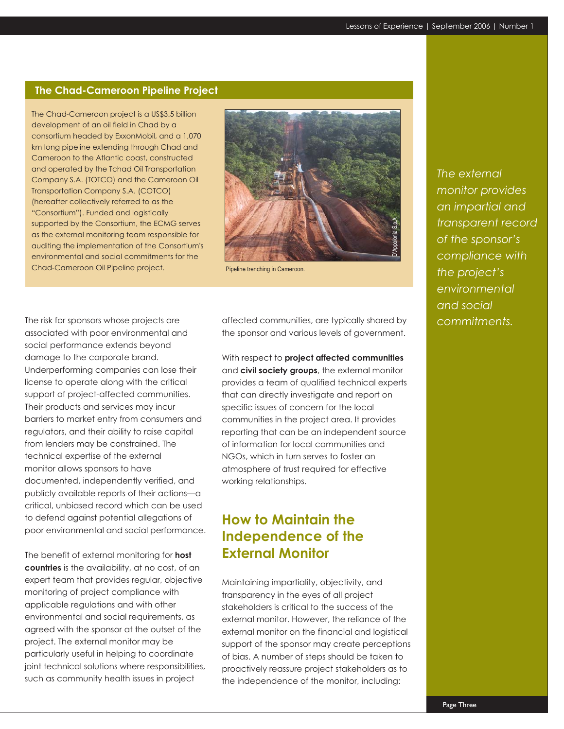### **The Chad-Cameroon Pipeline Project**

The Chad-Cameroon project is a US\$3.5 billion development of an oil field in Chad by a consortium headed by ExxonMobil, and a 1,070 km long pipeline extending through Chad and Cameroon to the Atlantic coast, constructed and operated by the Tchad Oil Transportation Company S.A. (TOTCO) and the Cameroon Oil Transportation Company S.A. (COTCO) (hereafter collectively referred to as the "Consortium"). Funded and logistically supported by the Consortium, the ECMG serves as the external monitoring team responsible for auditing the implementation of the Consortium's environmental and social commitments for the Chad-Cameroon Oil Pipeline project. Pipeline trenching in Cameroon.



The risk for sponsors whose projects are associated with poor environmental and social performance extends beyond damage to the corporate brand. Underperforming companies can lose their license to operate along with the critical support of project-affected communities. Their products and services may incur barriers to market entry from consumers and regulators, and their ability to raise capital from lenders may be constrained. The technical expertise of the external monitor allows sponsors to have documented, independently verified, and publicly available reports of their actions—a critical, unbiased record which can be used to defend against potential allegations of poor environmental and social performance.

The benefit of external monitoring for **host countries** is the availability, at no cost, of an expert team that provides regular, objective monitoring of project compliance with applicable regulations and with other environmental and social requirements, as agreed with the sponsor at the outset of the project. The external monitor may be particularly useful in helping to coordinate joint technical solutions where responsibilities, such as community health issues in project

affected communities, are typically shared by the sponsor and various levels of government.

With respect to **project affected communities** and **civil society groups**, the external monitor provides a team of qualified technical experts that can directly investigate and report on specific issues of concern for the local communities in the project area. It provides reporting that can be an independent source of information for local communities and NGOs, which in turn serves to foster an atmosphere of trust required for effective working relationships.

# **How to Maintain the Independence of the External Monitor**

Maintaining impartiality, objectivity, and transparency in the eyes of all project stakeholders is critical to the success of the external monitor. However, the reliance of the external monitor on the financial and logistical support of the sponsor may create perceptions of bias. A number of steps should be taken to proactively reassure project stakeholders as to the independence of the monitor, including:

*The external monitor provides an impartial and transparent record of the sponsor's compliance with the project's environmental and social commitments.*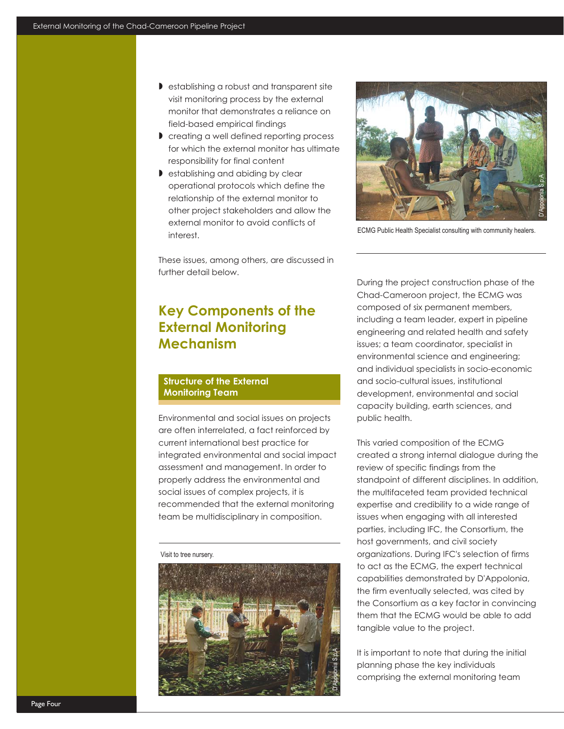- -establishing a robust and transparent site visit monitoring process by the external monitor that demonstrates a reliance on field-based empirical findings
- -creating a well defined reporting process for which the external monitor has ultimate responsibility for final content
- **I** establishing and abiding by clear operational protocols which define the relationship of the external monitor to other project stakeholders and allow the external monitor to avoid conflicts of interest.



ECMG Public Health Specialist consulting with community healers.

These issues, among others, are discussed in further detail below.

# **Key Components of the External Monitoring Mechanism**

### **Structure of the External Monitoring Team**

Environmental and social issues on projects are often interrelated, a fact reinforced by current international best practice for integrated environmental and social impact assessment and management. In order to properly address the environmental and social issues of complex projects, it is recommended that the external monitoring team be multidisciplinary in composition.

#### Visit to tree nursery.



During the project construction phase of the Chad-Cameroon project, the ECMG was composed of six permanent members, including a team leader, expert in pipeline engineering and related health and safety issues; a team coordinator, specialist in environmental science and engineering; and individual specialists in socio-economic and socio-cultural issues, institutional development, environmental and social capacity building, earth sciences, and public health.

This varied composition of the ECMG created a strong internal dialogue during the review of specific findings from the standpoint of different disciplines. In addition, the multifaceted team provided technical expertise and credibility to a wide range of issues when engaging with all interested parties, including IFC, the Consortium, the host governments, and civil society organizations. During IFC's selection of firms to act as the ECMG, the expert technical capabilities demonstrated by D'Appolonia, the firm eventually selected, was cited by the Consortium as a key factor in convincing them that the ECMG would be able to add tangible value to the project.

It is important to note that during the initial planning phase the key individuals comprising the external monitoring team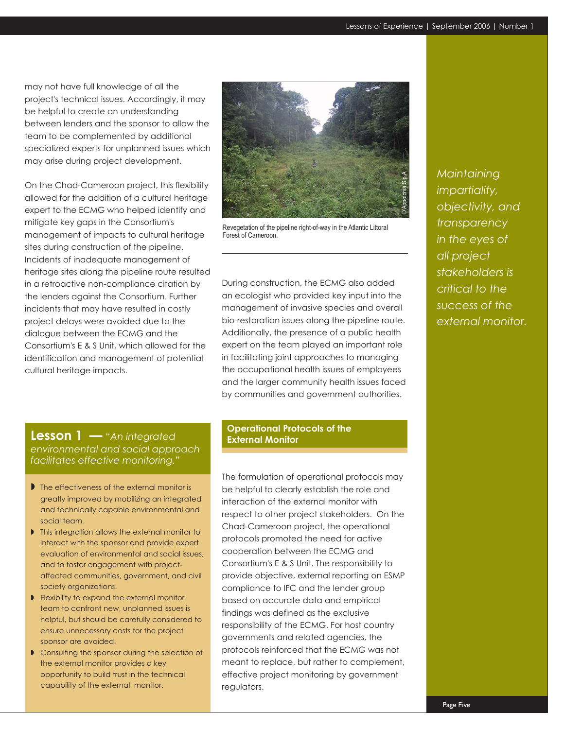may not have full knowledge of all the project's technical issues. Accordingly, it may be helpful to create an understanding between lenders and the sponsor to allow the team to be complemented by additional specialized experts for unplanned issues which may arise during project development.

On the Chad-Cameroon project, this flexibility allowed for the addition of a cultural heritage expert to the ECMG who helped identify and mitigate key gaps in the Consortium's management of impacts to cultural heritage sites during construction of the pipeline. Incidents of inadequate management of heritage sites along the pipeline route resulted in a retroactive non-compliance citation by the lenders against the Consortium. Further incidents that may have resulted in costly project delays were avoided due to the dialogue between the ECMG and the Consortium'sE&S Unit, which allowed for the identification and management of potential cultural heritage impacts.



Revegetation of the pipeline right-of-way in the Atlantic Littoral Forest of Cameroon.

During construction, the ECMG also added an ecologist who provided key input into the management of invasive species and overall bio-restoration issues along the pipeline route. Additionally, the presence of a public health expert on the team played an important role in facilitating joint approaches to managing the occupational health issues of employees and the larger community health issues faced by communities and government authorities.

# **Lesson 1** *— "An integrated environmental and social approach facilitates effective monitoring."*

- The effectiveness of the external monitor is greatly improved by mobilizing an integrated and technically capable environmental and social team.
- Inis integration allows the external monitor to interact with the sponsor and provide expert evaluation of environmental and social issues, and to foster engagement with projectaffected communities, government, and civil society organizations.
- **Flexibility to expand the external monitor** team to confront new, unplanned issues is helpful, but should be carefully considered to ensure unnecessary costs for the project sponsor are avoided.
- Consulting the sponsor during the selection of the external monitor provides a key opportunity to build trust in the technical capability of the external monitor.

#### **Operational Protocols of the External Monitor**

The formulation of operational protocols may be helpful to clearly establish the role and interaction of the external monitor with respect to other project stakeholders. On the Chad-Cameroon project, the operational protocols promoted the need for active cooperation between the ECMG and Consortium'sE&S Unit. The responsibility to provide objective, external reporting on ESMP compliance to IFC and the lender group based on accurate data and empirical findings was defined as the exclusive responsibility of the ECMG. For host country governments and related agencies, the protocols reinforced that the ECMG was not meant to replace, but rather to complement, effective project monitoring by government regulators.

*Maintaining impartiality, objectivity, and transparency in the eyes of all project stakeholders is critical to the success of the external monitor.*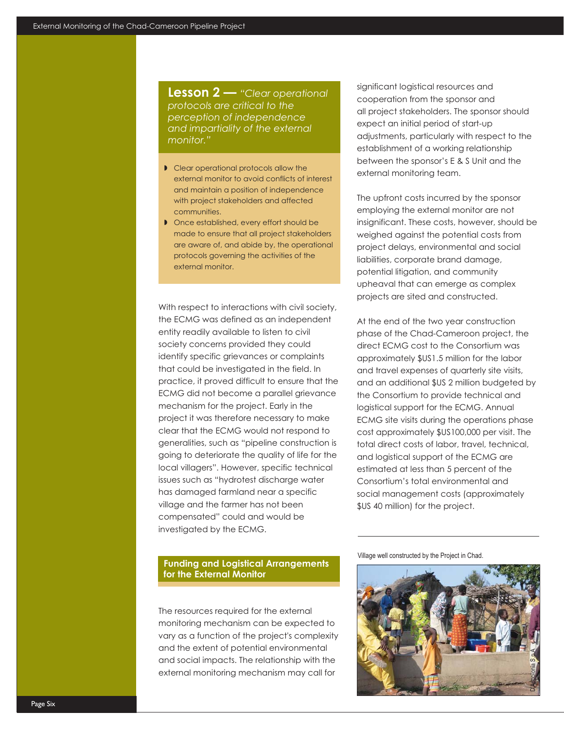**Lesson 2 —** *"Clear operational protocols are critical to the perception of independence and impartiality of the external monitor."*

- $\triangleright$  Clear operational protocols allow the external monitor to avoid conflicts of interest and maintain a position of independence with project stakeholders and affected communities.
- **I** Once established, every effort should be made to ensure that all project stakeholders are aware of, and abide by, the operational protocols governing the activities of the external monitor.

With respect to interactions with civil society, the ECMG was defined as an independent entity readily available to listen to civil society concerns provided they could identify specific grievances or complaints that could be investigated in the field. In practice, it proved difficult to ensure that the ECMG did not become a parallel grievance mechanism for the project. Early in the project it was therefore necessary to make clear that the ECMG would not respond to generalities, such as "pipeline construction is going to deteriorate the quality of life for the local villagers". However, specific technical issues such as "hydrotest discharge water has damaged farmland near a specific village and the farmer has not been compensated" could and would be investigated by the ECMG.

**Funding and Logistical Arrangements for the External Monitor**

The resources required for the external monitoring mechanism can be expected to vary as a function of the project's complexity and the extent of potential environmental and social impacts. The relationship with the external monitoring mechanism may call for

significant logistical resources and cooperation from the sponsor and all project stakeholders. The sponsor should expect an initial period of start-up adjustments, particularly with respect to the establishment of a working relationship between the sponsor'sE&S Unit and the external monitoring team.

The upfront costs incurred by the sponsor employing the external monitor are not insignificant. These costs, however, should be weighed against the potential costs from project delays, environmental and social liabilities, corporate brand damage, potential litigation, and community upheaval that can emerge as complex projects are sited and constructed.

At the end of the two year construction phase of the Chad-Cameroon project, the direct ECMG cost to the Consortium was approximately \$US1.5 million for the labor and travel expenses of quarterly site visits, and an additional \$US 2 million budgeted by the Consortium to provide technical and logistical support for the ECMG. Annual ECMG site visits during the operations phase cost approximately \$US100,000 per visit. The total direct costs of labor, travel, technical, and logistical support of the ECMG are estimated at less than 5 percent of the Consortium's total environmental and social management costs (approximately \$US 40 million) for the project.

Village well constructed by the Project in Chad.

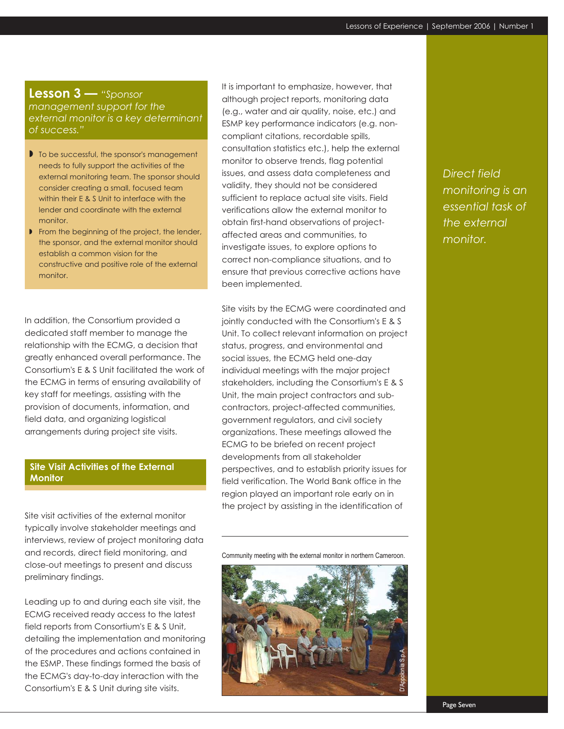### **Lesson 3 —** *"Sponsor*

*management support for the external monitor is a key determinant of success."*

- $\blacksquare$  To be successful, the sponsor's management needs to fully support the activities of the external monitoring team. The sponsor should consider creating a small, focused team within their E & S Unit to interface with the lender and coordinate with the external monitor.
- **From the beginning of the project, the lender,** the sponsor, and the external monitor should establish a common vision for the constructive and positive role of the external monitor.

In addition, the Consortium provided a dedicated staff member to manage the relationship with the ECMG, a decision that greatly enhanced overall performance. The Consortium'sE&S Unit facilitated the work of the ECMG in terms of ensuring availability of key staff for meetings, assisting with the provision of documents, information, and field data, and organizing logistical arrangements during project site visits.

### **Site Visit Activities of the External Monitor**

Site visit activities of the external monitor typically involve stakeholder meetings and interviews, review of project monitoring data and records, direct field monitoring, and close-out meetings to present and discuss preliminary findings.

Leading up to and during each site visit, the ECMG received ready access to the latest field reports from Consortium's E & S Unit, detailing the implementation and monitoring of the procedures and actions contained in the ESMP. These findings formed the basis of the ECMG's day-to-day interaction with the Consortium'sE&S Unit during site visits.

It is important to emphasize, however, that although project reports, monitoring data (e.g., water and air quality, noise, etc.) and ESMP key performance indicators (e.g. noncompliant citations, recordable spills, consultation statistics etc.), help the external monitor to observe trends, flag potential issues, and assess data completeness and validity, they should not be considered sufficient to replace actual site visits. Field verifications allow the external monitor to obtain first-hand observations of projectaffected areas and communities, to investigate issues, to explore options to correct non-compliance situations, and to ensure that previous corrective actions have been implemented.

Site visits by the ECMG were coordinated and jointly conducted with the Consortium's E & S Unit. To collect relevant information on project status, progress, and environmental and social issues, the ECMG held one-day individual meetings with the major project stakeholders, including the Consortium's E & S Unit, the main project contractors and subcontractors, project-affected communities, government regulators, and civil society organizations. These meetings allowed the ECMG to be briefed on recent project developments from all stakeholder perspectives, and to establish priority issues for field verification. The World Bank office in the region played an important role early on in the project by assisting in the identification of

Community meeting with the external monitor in northern Cameroon.



*Direct field monitoring is an essential task of the external monitor.*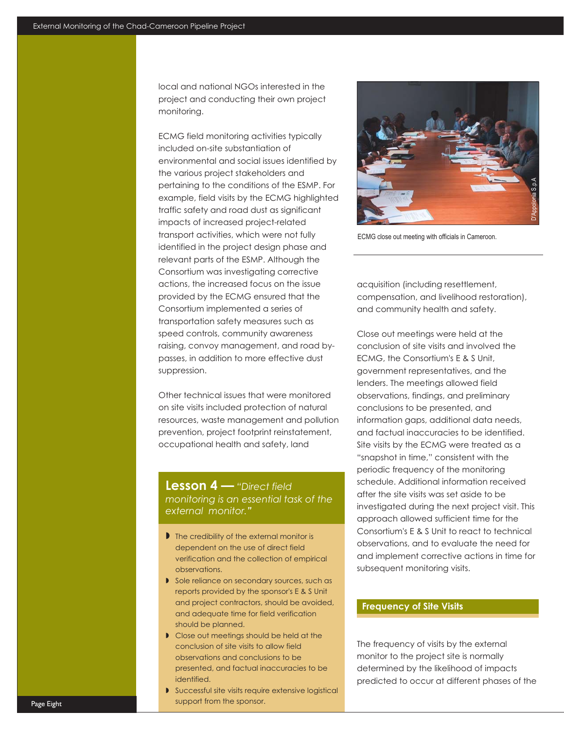local and national NGOs interested in the project and conducting their own project monitoring.

ECMG field monitoring activities typically included on-site substantiation of environmental and social issues identified by the various project stakeholders and pertaining to the conditions of the ESMP. For example, field visits by the ECMG highlighted traffic safety and road dust as significant impacts of increased project-related transport activities, which were not fully identified in the project design phase and relevant parts of the ESMP. Although the Consortium was investigating corrective actions, the increased focus on the issue provided by the ECMG ensured that the Consortium implemented a series of transportation safety measures such as speed controls, community awareness raising, convoy management, and road bypasses, in addition to more effective dust suppression.

Other technical issues that were monitored on site visits included protection of natural resources, waste management and pollution prevention, project footprint reinstatement, occupational health and safety, land

### **Lesson 4 —** *"Direct field monitoring is an essential task of the external monitor."*

- I The credibility of the external monitor is dependent on the use of direct field verification and the collection of empirical observations.
- Sole reliance on secondary sources, such as reports provided by the sponsor's E & S Unit and project contractors, should be avoided, and adequate time for field verification should be planned.
- **Close out meetings should be held at the** conclusion of site visits to allow field observations and conclusions to be presented, and factual inaccuracies to be identified.
- **Successful site visits require extensive logistical** support from the sponsor.



ECMG close out meeting with officials in Cameroon.

acquisition (including resettlement, compensation, and livelihood restoration), and community health and safety.

Close out meetings were held at the conclusion of site visits and involved the ECMG, the Consortium's E & S Unit, government representatives, and the lenders. The meetings allowed field observations, findings, and preliminary conclusions to be presented, and information gaps, additional data needs, and factual inaccuracies to be identified. Site visits by the ECMG were treated as a "snapshot in time," consistent with the periodic frequency of the monitoring schedule. Additional information received after the site visits was set aside to be investigated during the next project visit. This approach allowed sufficient time for the Consortium'sE&S Unit to react to technical observations, and to evaluate the need for and implement corrective actions in time for subsequent monitoring visits.

### **Frequency of Site Visits**

The frequency of visits by the external monitor to the project site is normally determined by the likelihood of impacts predicted to occur at different phases of the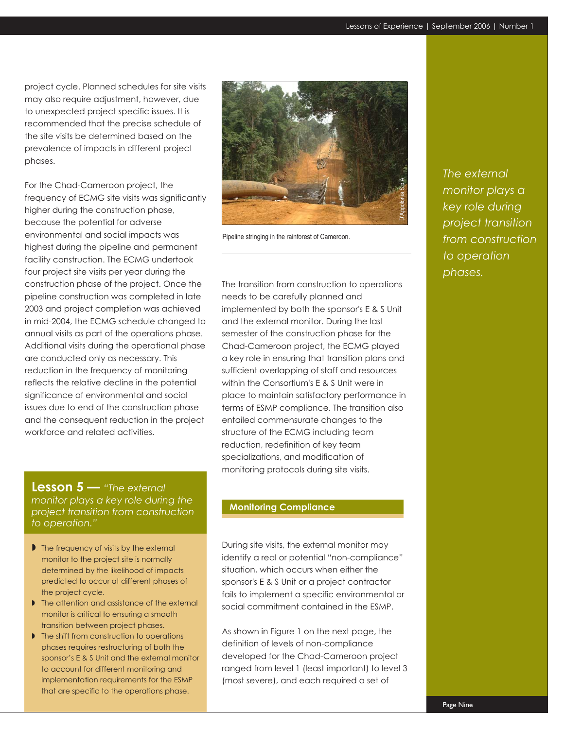project cycle. Planned schedules for site visits may also require adjustment, however, due to unexpected project specific issues. It is recommended that the precise schedule of the site visits be determined based on the prevalence of impacts in different project phases.

For the Chad-Cameroon project, the frequency of ECMG site visits was significantly higher during the construction phase, highest during the pipeline and permanent facility construction. The ECMG undertook four project site visits per year during the construction phase of the project. Once the pipeline construction was completed in late 2003 and project completion was achieved in mid-2004, the ECMG schedule changed to annual visits as part of the operations phase. Additional visits during the operational phase are conducted only as necessary. This reduction in the frequency of monitoring reflects the relative decline in the potential significance of environmental and social issues due to end of the construction phase and the consequent reduction in the project workforce and related activities. because the potential for adverse environmental and social impacts was

### **Lesson 5 —** *"The external monitor plays a key role during the project transition from construction to operation."*

- I The frequency of visits by the external monitor to the project site is normally determined by the likelihood of impacts predicted to occur at different phases of the project cycle.
- Ine attention and assistance of the external monitor is critical to ensuring a smooth transition between project phases.
- Ine shift from construction to operations phases requires restructuring of both the sponsor's E & S Unit and the external monitor to account for different monitoring and implementation requirements for the ESMP that are specific to the operations phase.



Pipeline stringing in the rainforest of Cameroon.

The transition from construction to operations needs to be carefully planned and implemented by both the sponsor's E & S Unit and the external monitor. During the last semester of the construction phase for the Chad-Cameroon project, the ECMG played a key role in ensuring that transition plans and sufficient overlapping of staff and resources within the Consortium's E & S Unit were in place to maintain satisfactory performance in terms of ESMP compliance. The transition also entailed commensurate changes to the structure of the ECMG including team reduction, redefinition of key team specializations, and modification of monitoring protocols during site visits.

#### **Monitoring Compliance**

During site visits, the external monitor may identify a real or potential "non-compliance" situation, which occurs when either the sponsor's E & S Unit or a project contractor fails to implement a specific environmental or social commitment contained in the ESMP.

As shown in Figure 1 on the next page, the definition of levels of non-compliance developed for the Chad-Cameroon project ranged from level 1 (least important) to level 3 (most severe), and each required a set of

*The external monitor plays a key role during project transition from construction to operation phases.*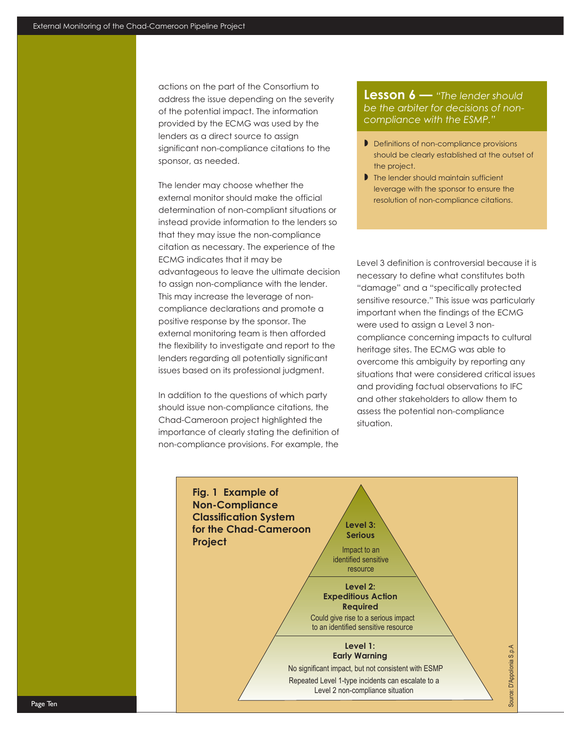actions on the part of the Consortium to address the issue depending on the severity of the potential impact. The information provided by the ECMG was used by the lenders as a direct source to assign significant non-compliance citations to the sponsor, as needed.

The lender may choose whether the external monitor should make the official determination of non-compliant situations or instead provide information to the lenders so that they may issue the non-compliance citation as necessary. The experience of the ECMG indicates that it may be advantageous to leave the ultimate decision to assign non-compliance with the lender. This may increase the leverage of noncompliance declarations and promote a positive response by the sponsor. The external monitoring team is then afforded the flexibility to investigate and report to the lenders regarding all potentially significant issues based on its professional judgment.

In addition to the questions of which party should issue non-compliance citations, the Chad-Cameroon project highlighted the importance of clearly stating the definition of non-compliance provisions. For example, the

**Lesson 6 —** *"The lender should be the arbiter for decisions of noncompliance with the ESMP."*

- **Definitions of non-compliance provisions** should be clearly established at the outset of the project.
- I The lender should maintain sufficient leverage with the sponsor to ensure the resolution of non-compliance citations.

Level 3 definition is controversial because it is necessary to define what constitutes both "damage" and a "specifically protected sensitive resource." This issue was particularly important when the findings of the ECMG were used to assign a Level 3 noncompliance concerning impacts to cultural heritage sites. The ECMG was able to overcome this ambiguity by reporting any situations that were considered critical issues and providing factual observations to IFC and other stakeholders to allow them to assess the potential non-compliance situation.

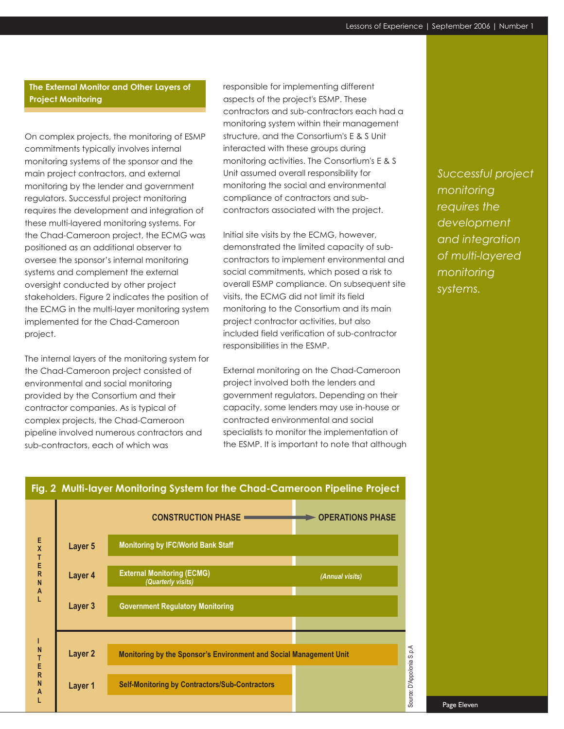### **The External Monitor and Other Layers of Project Monitoring**

On complex projects, the monitoring of ESMP commitments typically involves internal monitoring systems of the sponsor and the main project contractors, and external monitoring by the lender and government regulators. Successful project monitoring requires the development and integration of these multi-layered monitoring systems. For the Chad-Cameroon project, the ECMG was positioned as an additional observer to oversee the sponsor's internal monitoring systems and complement the external oversight conducted by other project stakeholders. Figure 2 indicates the position of the ECMG in the multi-layer monitoring system implemented for the Chad-Cameroon project.

The internal layers of the monitoring system for the Chad-Cameroon project consisted of environmental and social monitoring provided by the Consortium and their contractor companies. As is typical of complex projects, the Chad-Cameroon pipeline involved numerous contractors and sub-contractors, each of which was

**I N T E R N A L**

**Layer 2**

**Layer 1**

responsible for implementing different aspects of the project's ESMP. These contractors and sub-contractors each had a monitoring system within their management structure, and the Consortium's E & S Unit interacted with these groups during monitoring activities. The Consortium's E & S Unit assumed overall responsibility for monitoring the social and environmental compliance of contractors and subcontractors associated with the project.

Initial site visits by the ECMG, however, demonstrated the limited capacity of subcontractors to implement environmental and social commitments, which posed a risk to overall ESMP compliance. On subsequent site visits, the ECMG did not limit its field monitoring to the Consortium and its main project contractor activities, but also included field verification of sub-contractor responsibilities in the ESMP.

External monitoring on the Chad-Cameroon project involved both the lenders and government regulators. Depending on their capacity, some lenders may use in-house or contracted environmental and social specialists to monitor the implementation of the ESMP. It is important to note that although *Successful project monitoring requires the development and integration of multi-layered monitoring systems.*



**Self-Monitoring by Contractors/Sub-Contractors**

**Monitoring by the Sponsor's Environment and Social Management Unit**

# **Fig. 2 Multi-layer Monitoring System for the Chad-Cameroon Pipeline Project**

Source: D'Appolonia S.p.ASource: D'Appolonia S.p.A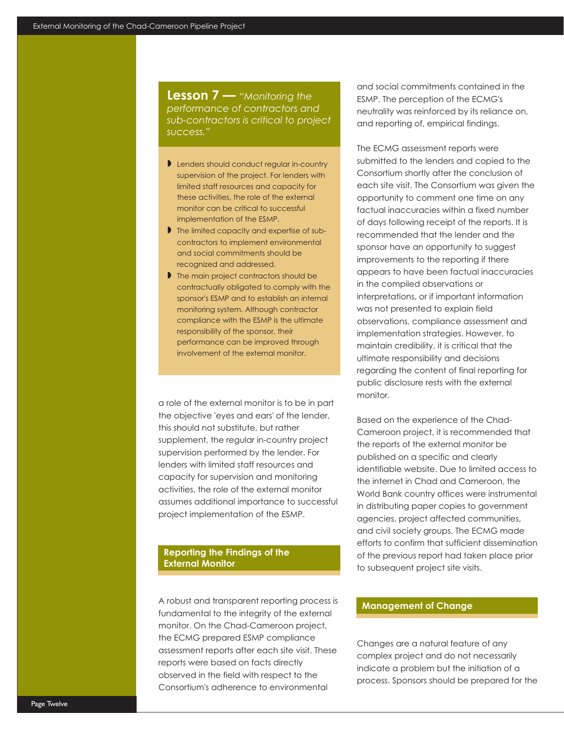**Lesson 7 —** *"Monitoring the performance of contractors and sub-contractors is critical to project success."*

- Lenders should conduct regular in-country supervision of the project. For lenders with limited staff resources and capacity for these activities, the role of the external monitor can be critical to successful implementation of the ESMP.
- If the limited capacity and expertise of subcontractors to implement environmental and social commitments should be recognized and addressed.
- I The main project contractors should be contractually obligated to comply with the sponsor's ESMP and to establish an internal monitoring system. Although contractor compliance with the ESMP is the ultimate responsibility of the sponsor, their performance can be improved through involvement of the external monitor.

a role of the external monitor is to be in part the objective 'eyes and ears' of the lender, this should not substitute, but rather supplement, the regular in-country project supervision performed by the lender. For lenders with limited staff resources and capacity for supervision and monitoring activities, the role of the external monitor assumes additional importance to successful project implementation of the ESMP.

#### **Reporting the Findings of the External Monitor**

A robust and transparent reporting process is fundamental to the integrity of the external monitor. On the Chad-Cameroon project, the ECMG prepared ESMP compliance assessment reports after each site visit. These reports were based on facts directly observed in the field with respect to the Consortium's adherence to environmental

and social commitments contained in the ESMP. The perception of the ECMG's neutrality was reinforced by its reliance on, and reporting of, empirical findings.

The ECMG assessment reports were submitted to the lenders and copied to the Consortium shortly after the conclusion of each site visit. The Consortium was given the opportunity to comment one time on any factual inaccuracies within a fixed number of days following receipt of the reports. It is recommended that the lender and the sponsor have an opportunity to suggest improvements to the reporting if there appears to have been factual inaccuracies in the compiled observations or interpretations, or if important information was not presented to explain field observations, compliance assessment and implementation strategies. However, to maintain credibility, it is critical that the ultimate responsibility and decisions regarding the content of final reporting for public disclosure rests with the external monitor.

Based on the experience of the Chad-Cameroon project, it is recommended that the reports of the external monitor be published on a specific and clearly identifiable website. Due to limited access to the internet in Chad and Cameroon, the World Bank country offices were instrumental in distributing paper copies to government agencies, project affected communities, and civil society groups. The ECMG made efforts to confirm that sufficient dissemination of the previous report had taken place prior to subsequent project site visits.

### **Management of Change**

Changes are a natural feature of any complex project and do not necessarily indicate a problem but the initiation of a process. Sponsors should be prepared for the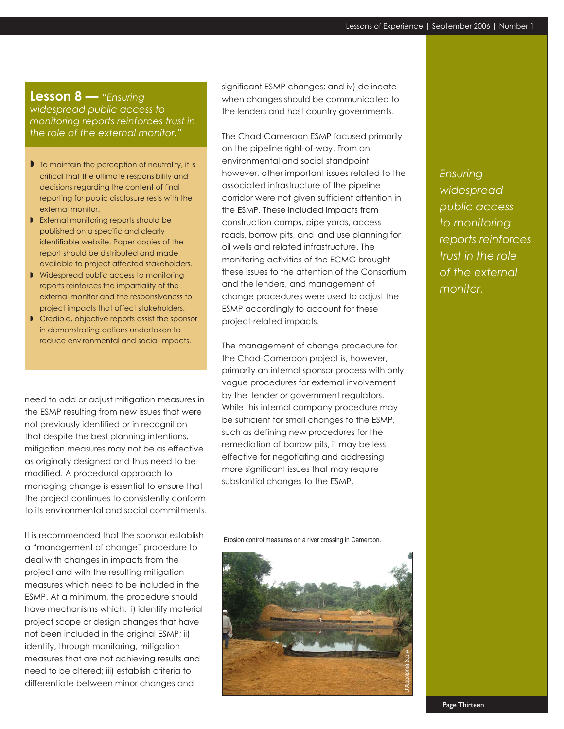# **Lesson 8 —** *"Ensuring*

*widespread public access to monitoring reports reinforces trust in the role of the external monitor."*

- $\blacktriangleright$  To maintain the perception of neutrality, it is critical that the ultimate responsibility and decisions regarding the content of final reporting for public disclosure rests with the external monitor.
- **B** External monitoring reports should be published on a specific and clearly identifiable website. Paper copies of the report should be distributed and made available to project affected stakeholders.
- Widespread public access to monitoring reports reinforces the impartiality of the external monitor and the responsiveness to project impacts that affect stakeholders.
- **Credible, objective reports assist the sponsor** in demonstrating actions undertaken to reduce environmental and social impacts.

need to add or adjust mitigation measures in the ESMP resulting from new issues that were not previously identified or in recognition that despite the best planning intentions, mitigation measures may not be as effective as originally designed and thus need to be modified. A procedural approach to managing change is essential to ensure that the project continues to consistently conform to its environmental and social commitments.

It is recommended that the sponsor establish a "management of change" procedure to deal with changes in impacts from the project and with the resulting mitigation measures which need to be included in the ESMP. At a minimum, the procedure should have mechanisms which: i) identify material project scope or design changes that have not been included in the original ESMP; ii) identify, through monitoring, mitigation measures that are not achieving results and need to be altered; iii) establish criteria to differentiate between minor changes and

significant ESMP changes; and iv) delineate when changes should be communicated to the lenders and host country governments.

The Chad-Cameroon ESMP focused primarily on the pipeline right-of-way. From an environmental and social standpoint, however, other important issues related to the associated infrastructure of the pipeline corridor were not given sufficient attention in the ESMP. These included impacts from construction camps, pipe yards, access roads, borrow pits, and land use planning for oil wells and related infrastructure. The monitoring activities of the ECMG brought these issues to the attention of the Consortium and the lenders, and management of change procedures were used to adjust the ESMP accordingly to account for these project-related impacts.

The management of change procedure for the Chad-Cameroon project is, however, primarily an internal sponsor process with only vague procedures for external involvement by the lender or government regulators. While this internal company procedure may be sufficient for small changes to the ESMP, such as defining new procedures for the remediation of borrow pits, it may be less effective for negotiating and addressing more significant issues that may require substantial changes to the ESMP.

Erosion control measures on a river crossing in Cameroon.



*Ensuring widespread public access to monitoring reports reinforces trust in the role of the external monitor.*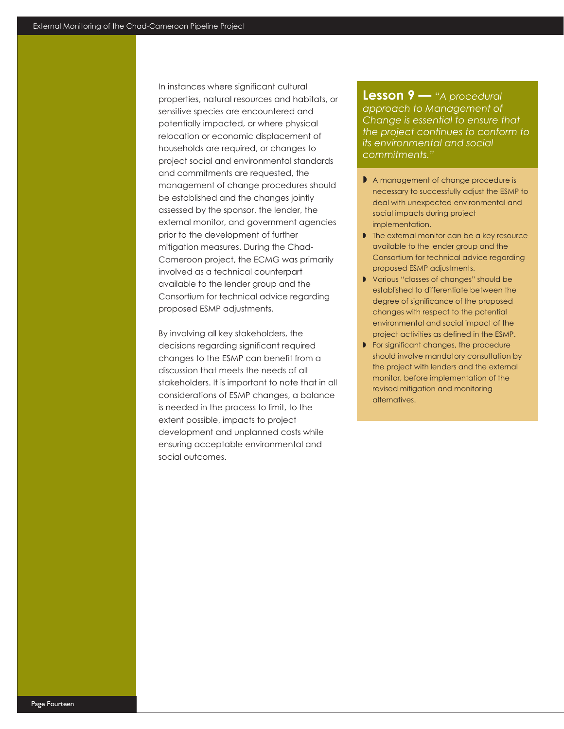In instances where significant cultural properties, natural resources and habitats, or sensitive species are encountered and potentially impacted, or where physical relocation or economic displacement of households are required, or changes to project social and environmental standards and commitments are requested, the management of change procedures should be established and the changes jointly assessed by the sponsor, the lender, the external monitor, and government agencies prior to the development of further mitigation measures. During the Chad-Cameroon project, the ECMG was primarily involved as a technical counterpart available to the lender group and the Consortium for technical advice regarding proposed ESMP adjustments.

By involving all key stakeholders, the decisions regarding significant required changes to the ESMP can benefit from a discussion that meets the needs of all stakeholders. It is important to note that in all considerations of ESMP changes, a balance is needed in the process to limit, to the extent possible, impacts to project development and unplanned costs while ensuring acceptable environmental and social outcomes.

**Lesson 9 —** *"A procedural approach to Management of Change is essential to ensure that the project continues to conform to its environmental and social commitments."*

- A management of change procedure is necessary to successfully adjust the ESMP to deal with unexpected environmental and social impacts during project implementation.
- I The external monitor can be a key resource available to the lender group and the Consortium for technical advice regarding proposed ESMP adjustments.
- Various "classes of changes" should be established to differentiate between the degree of significance of the proposed changes with respect to the potential environmental and social impact of the project activities as defined in the ESMP.
- **For significant changes, the procedure** should involve mandatory consultation by the project with lenders and the external monitor, before implementation of the revised mitigation and monitoring alternatives.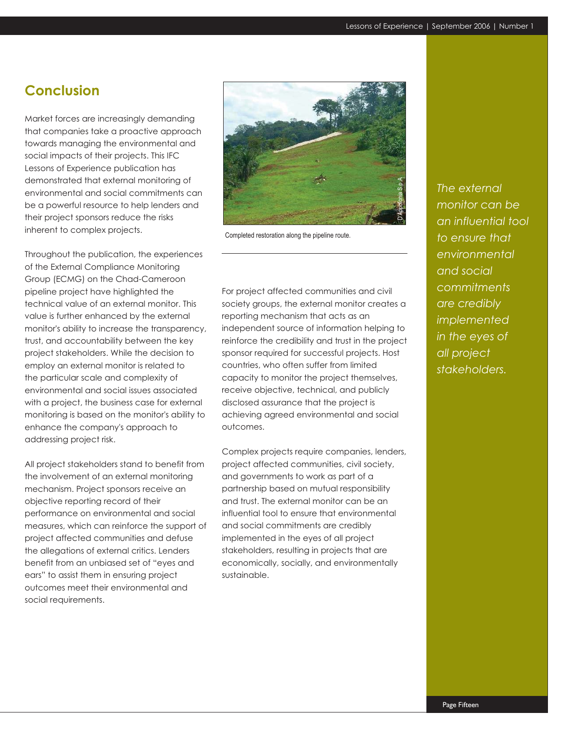# **Conclusion**

Market forces are increasingly demanding that companies take a proactive approach towards managing the environmental and social impacts of their projects. This IFC Lessons of Experience publication has demonstrated that external monitoring of environmental and social commitments can be a powerful resource to help lenders and their project sponsors reduce the risks inherent to complex projects.

Throughout the publication, the experiences of the External Compliance Monitoring Group (ECMG) on the Chad-Cameroon pipeline project have highlighted the technical value of an external monitor. This value is further enhanced by the external monitor's ability to increase the transparency, trust, and accountability between the key project stakeholders. While the decision to employ an external monitor is related to the particular scale and complexity of environmental and social issues associated with a project, the business case for external monitoring is based on the monitor's ability to enhance the company's approach to addressing project risk.

All project stakeholders stand to benefit from the involvement of an external monitoring mechanism. Project sponsors receive an objective reporting record of their performance on environmental and social measures, which can reinforce the support of project affected communities and defuse the allegations of external critics. Lenders benefit from an unbiased set of "eyes and ears" to assist them in ensuring project outcomes meet their environmental and social requirements.



Completed restoration along the pipeline route.

For project affected communities and civil society groups, the external monitor creates a reporting mechanism that acts as an independent source of information helping to reinforce the credibility and trust in the project sponsor required for successful projects. Host countries, who often suffer from limited capacity to monitor the project themselves, receive objective, technical, and publicly disclosed assurance that the project is achieving agreed environmental and social outcomes.

Complex projects require companies, lenders, project affected communities, civil society, and governments to work as part of a partnership based on mutual responsibility and trust. The external monitor can be an influential tool to ensure that environmental and social commitments are credibly implemented in the eyes of all project stakeholders, resulting in projects that are economically, socially, and environmentally sustainable.

*The external monitor can be an influential tool to ensure that environmental and social commitments are credibly implemented in the eyes of all project stakeholders.*